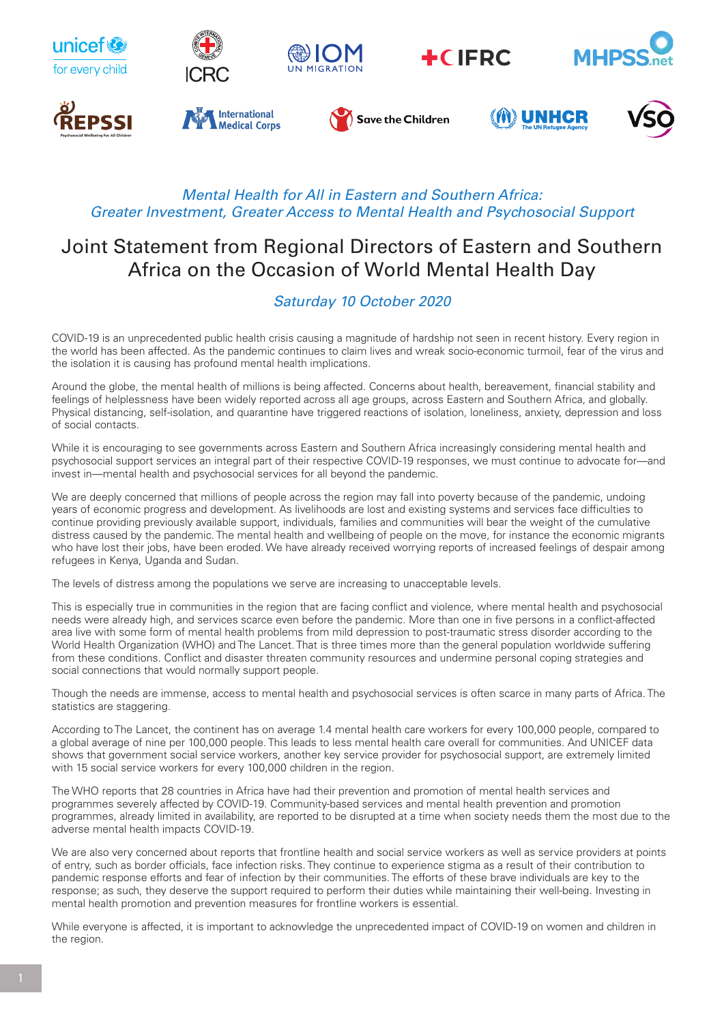

## *Mental Health for All in Eastern and Southern Africa: Greater Investment, Greater Access to Mental Health and Psychosocial Support*

## Joint Statement from Regional Directors of Eastern and Southern Africa on the Occasion of World Mental Health Day

## *Saturday 10 October 2020*

COVID-19 is an unprecedented public health crisis causing a magnitude of hardship not seen in recent history. Every region in the world has been affected. As the pandemic continues to claim lives and wreak socio-economic turmoil, fear of the virus and the isolation it is causing has profound mental health implications.

Around the globe, the mental health of millions is being affected. Concerns about health, bereavement, financial stability and feelings of helplessness have been widely reported across all age groups, across Eastern and Southern Africa, and globally. Physical distancing, self-isolation, and quarantine have triggered reactions of isolation, loneliness, anxiety, depression and loss of social contacts.

While it is encouraging to see governments across Eastern and Southern Africa increasingly considering mental health and psychosocial support services an integral part of their respective COVID-19 responses, we must continue to advocate for—and invest in—mental health and psychosocial services for all beyond the pandemic.

We are deeply concerned that millions of people across the region may fall into poverty because of the pandemic, undoing years of economic progress and development. As livelihoods are lost and existing systems and services face difficulties to continue providing previously available support, individuals, families and communities will bear the weight of the cumulative distress caused by the pandemic. The mental health and wellbeing of people on the move, for instance the economic migrants who have lost their jobs, have been eroded. We have already received worrying reports of increased feelings of despair among refugees in Kenya, Uganda and Sudan.

The levels of distress among the populations we serve are increasing to unacceptable levels.

This is especially true in communities in the region that are facing conflict and violence, where mental health and psychosocial needs were already high, and services scarce even before the pandemic. More than one in five persons in a conflict-affected area live with some form of mental health problems from mild depression to post-traumatic stress disorder according to the World Health Organization (WHO) and The Lancet. That is three times more than the general population worldwide suffering from these conditions. Conflict and disaster threaten community resources and undermine personal coping strategies and social connections that would normally support people.

Though the needs are immense, access to mental health and psychosocial services is often scarce in many parts of Africa. The statistics are staggering.

According to The Lancet, the continent has on average 1.4 mental health care workers for every 100,000 people, compared to a global average of nine per 100,000 people. This leads to less mental health care overall for communities. And UNICEF data shows that government social service workers, another key service provider for psychosocial support, are extremely limited with 15 social service workers for every 100,000 children in the region.

The WHO reports that 28 countries in Africa have had their prevention and promotion of mental health services and programmes severely affected by COVID-19. Community-based services and mental health prevention and promotion programmes, already limited in availability, are reported to be disrupted at a time when society needs them the most due to the adverse mental health impacts COVID-19.

We are also very concerned about reports that frontline health and social service workers as well as service providers at points of entry, such as border officials, face infection risks. They continue to experience stigma as a result of their contribution to pandemic response efforts and fear of infection by their communities. The efforts of these brave individuals are key to the response; as such, they deserve the support required to perform their duties while maintaining their well-being. Investing in mental health promotion and prevention measures for frontline workers is essential.

While everyone is affected, it is important to acknowledge the unprecedented impact of COVID-19 on women and children in the region.